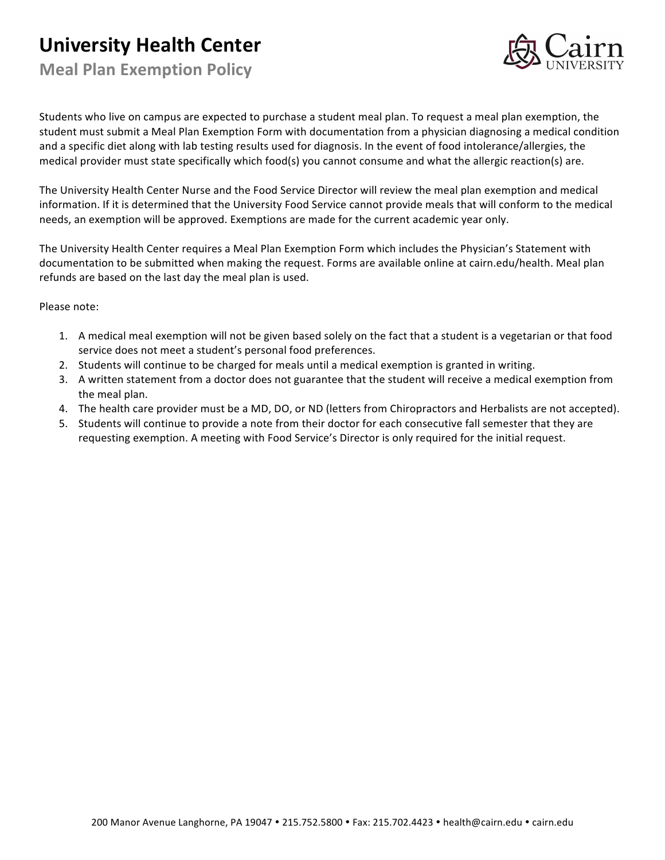## **University Health Center**

**Meal Plan Exemption Policy**



Students who live on campus are expected to purchase a student meal plan. To request a meal plan exemption, the student must submit a Meal Plan Exemption Form with documentation from a physician diagnosing a medical condition and a specific diet along with lab testing results used for diagnosis. In the event of food intolerance/allergies, the medical provider must state specifically which food(s) you cannot consume and what the allergic reaction(s) are.

The University Health Center Nurse and the Food Service Director will review the meal plan exemption and medical information. If it is determined that the University Food Service cannot provide meals that will conform to the medical needs, an exemption will be approved. Exemptions are made for the current academic year only.

The University Health Center requires a Meal Plan Exemption Form which includes the Physician's Statement with documentation to be submitted when making the request. Forms are available online at cairn.edu/health. Meal plan refunds are based on the last day the meal plan is used.

Please note:

- 1. A medical meal exemption will not be given based solely on the fact that a student is a vegetarian or that food service does not meet a student's personal food preferences.
- 2. Students will continue to be charged for meals until a medical exemption is granted in writing.
- 3. A written statement from a doctor does not guarantee that the student will receive a medical exemption from the meal plan.
- 4. The health care provider must be a MD, DO, or ND (letters from Chiropractors and Herbalists are not accepted).
- 5. Students will continue to provide a note from their doctor for each consecutive fall semester that they are requesting exemption. A meeting with Food Service's Director is only required for the initial request.